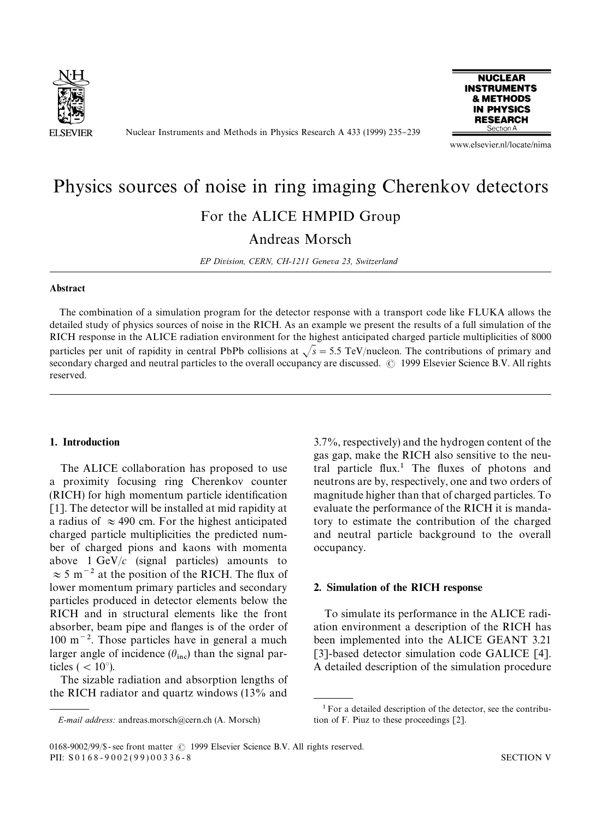

Nuclear Instruments and Methods in Physics Research A 433 (1999) 235-239



www.elsevier.nl/locate/nima

# Physics sources of noise in ring imaging Cherenkov detectors For the ALICE HMPID Group

Andreas Morsch

*EP Division, CERN, CH-1211 Geneva 23, Switzerland*

#### Abstract

The combination of a simulation program for the detector response with a transport code like FLUKA allows the detailed study of physics sources of noise in the RICH. As an example we present the results of a full simulation of the RICH response in the ALICE radiation environment for the highest anticipated charged particle multiplicities of 8000 particles per unit of rapidity in central PbPb collisions at  $\sqrt{s}$  = 5.5 TeV/nucleon. The contributions of primary and secondary charged and neutral particles to the overall occupancy are discussed. © 1999 Elsevier Science B.V. All rights reserved.

## 1. Introduction

The ALICE collaboration has proposed to use a proximity focusing ring Cherenkov counter (RICH) for high momentum particle identification [1]. The detector will be installed at mid rapidity at a radius of  $\approx$  490 cm. For the highest anticipated charged particle multiplicities the predicted number of charged pions and kaons with momenta above  $1 \text{ GeV}/c$  (signal particles) amounts to  $\approx$  5 m<sup>-2</sup> at the position of the RICH. The flux of lower momentum primary particles and secondary particles produced in detector elements below the RICH and in structural elements like the front absorber, beam pipe and flanges is of the order of  $100 \text{ m}^{-2}$ . Those particles have in general a much larger angle of incidence  $(\theta_{\text{inc}})$  than the signal particles  $($  < 10 $^{\circ}$ ).

The sizable radiation and absorption lengths of the RICH radiator and quartz windows (13% and 3.7%, respectively) and the hydrogen content of the gas gap, make the RICH also sensitive to the neutral particle  $flux<sup>1</sup>$ . The fluxes of photons and neutrons are by, respectively, one and two orders of magnitude higher than that of charged particles. To evaluate the performance of the RICH it is mandatory to estimate the contribution of the charged and neutral particle background to the overall occupancy.

## 2. Simulation of the RICH response

To simulate its performance in the ALICE radiation environment a description of the RICH has been implemented into the ALICE GEANT 3.21 [3]-based detector simulation code GALICE [4]. A detailed description of the simulation procedure

*E-mail address:* andreas.morsch@cern.ch (A. Morsch) tion of F. Piuz to these proceedings [2].

 $1$  For a detailed description of the detector, see the contribu-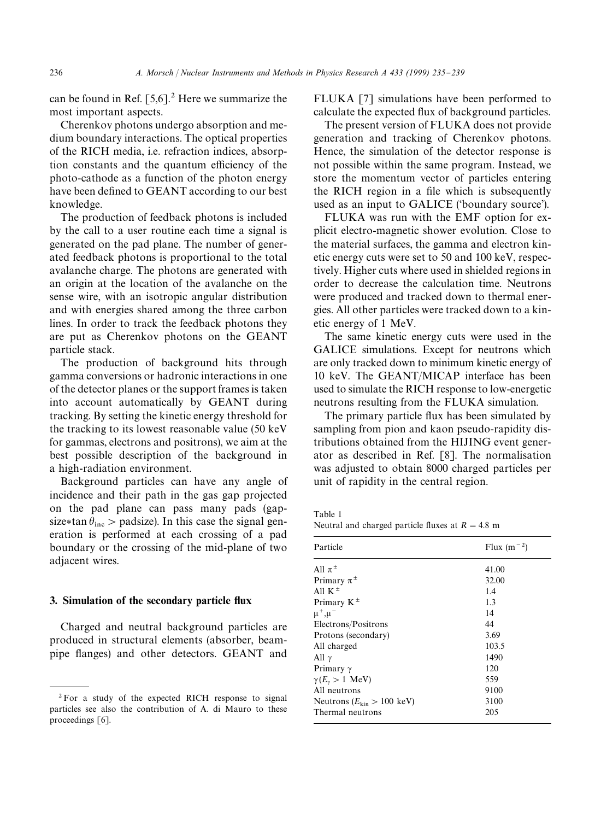can be found in Ref.  $[5,6]$ <sup>2</sup> Here we summarize the most important aspects.

Cherenkov photons undergo absorption and medium boundary interactions. The optical properties of the RICH media, i.e. refraction indices, absorption constants and the quantum efficiency of the photo-cathode as a function of the photon energy have been defined to GEANT according to our best knowledge.

The production of feedback photons is included by the call to a user routine each time a signal is generated on the pad plane. The number of generated feedback photons is proportional to the total avalanche charge. The photons are generated with an origin at the location of the avalanche on the sense wire, with an isotropic angular distribution and with energies shared among the three carbon lines. In order to track the feedback photons they are put as Cherenkov photons on the GEANT particle stack.

The production of background hits through gamma conversions or hadronic interactions in one of the detector planes or the support frames is taken into account automatically by GEANT during tracking. By setting the kinetic energy threshold for the tracking to its lowest reasonable value (50 keV for gammas, electrons and positrons), we aim at the best possible description of the background in a high-radiation environment.

Background particles can have any angle of incidence and their path in the gas gap projected on the pad plane can pass many pads (gapsize\*tan  $\theta_{\text{inc}}$  > padsize). In this case the signal generation is performed at each crossing of a pad boundary or the crossing of the mid-plane of two adjacent wires.

## 3. Simulation of the secondary particle flux

Charged and neutral background particles are produced in structural elements (absorber, beampipe flanges) and other detectors. GEANT and

FLUKA [7] simulations have been performed to calculate the expected flux of background particles.

The present version of FLUKA does not provide generation and tracking of Cherenkov photons. Hence, the simulation of the detector response is not possible within the same program. Instead, we store the momentum vector of particles entering the RICH region in a file which is subsequently used as an input to GALICE ('boundary source').

FLUKA was run with the EMF option for explicit electro-magnetic shower evolution. Close to the material surfaces, the gamma and electron kinetic energy cuts were set to 50 and 100 keV, respectively. Higher cuts where used in shielded regions in order to decrease the calculation time. Neutrons were produced and tracked down to thermal energies. All other particles were tracked down to a kinetic energy of 1 MeV.

The same kinetic energy cuts were used in the GALICE simulations. Except for neutrons which are only tracked down to minimum kinetic energy of 10 keV. The GEANT/MICAP interface has been used to simulate the RICH response to low-energetic neutrons resulting from the FLUKA simulation.

The primary particle flux has been simulated by sampling from pion and kaon pseudo-rapidity distributions obtained from the HIJING event generator as described in Ref. [8]. The normalisation was adjusted to obtain 8000 charged particles per unit of rapidity in the central region.

Table 1 Neutral and charged particle fluxes at  $R = 4.8$  m

| Particle                                      | Flux $(m^{-2})$ |  |
|-----------------------------------------------|-----------------|--|
| All $\pi^{\pm}$                               | 41.00           |  |
| Primary $\pi^{\pm}$                           | 32.00           |  |
| All K <sup><math>\pm</math></sup>             | 1.4             |  |
| Primary $K^{\pm}$                             | 1.3             |  |
| $\mu^+,\mu^-$                                 | 14              |  |
| Electrons/Positrons                           | 44              |  |
| Protons (secondary)                           | 3.69            |  |
| All charged                                   | 103.5           |  |
| All $\gamma$                                  | 1490            |  |
| Primary $\gamma$                              | 120             |  |
| $\gamma(E_{\gamma} > 1 \text{ MeV})$          | 559             |  |
| All neutrons                                  | 9100            |  |
| Neutrons $(E_{\text{kin}} > 100 \text{ keV})$ | 3100            |  |
| Thermal neutrons                              | 205             |  |

<sup>2</sup>For a study of the expected RICH response to signal particles see also the contribution of A. di Mauro to these proceedings [6].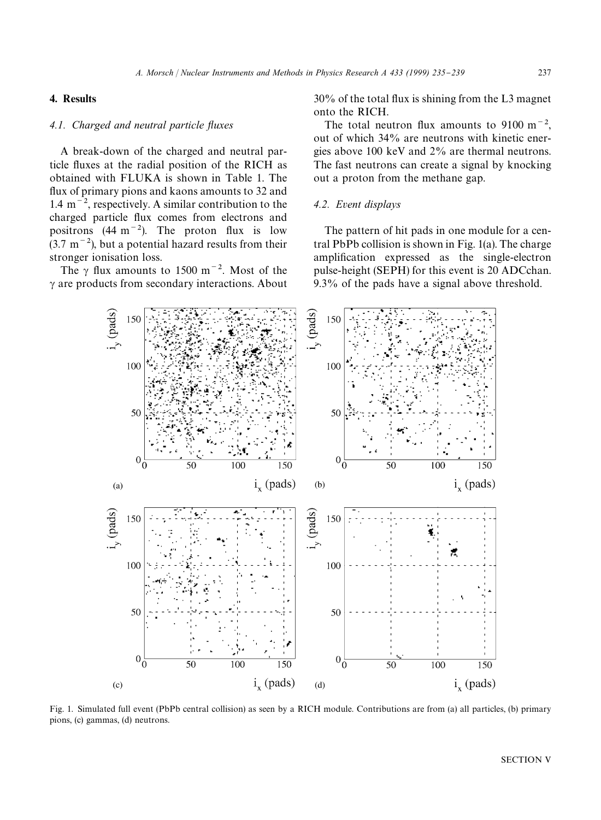## 4. Results

### *4.1. Charged and neutral particle fluxes*

A break-down of the charged and neutral particle fluxes at the radial position of the RICH as obtained with FLUKA is shown in Table 1. The flux of primary pions and kaons amounts to 32 and 1.4 m<sup> $-2$ </sup>, respectively. A similar contribution to the charged particle flux comes from electrons and positrons (44 m<sup> $-2$ </sup>). The proton flux is low  $(3.7 \text{ m}^{-2})$ , but a potential hazard results from their stronger ionisation loss.

The  $\gamma$  flux amounts to 1500 m<sup>-2</sup>. Most of the  $\gamma$  are products from secondary interactions. About  $30\%$  of the total flux is shining from the L3 magnet onto the RICH.

The total neutron flux amounts to 9100 m<sup> $-2$ </sup>, out of which 34% are neutrons with kinetic energies above 100 keV and 2% are thermal neutrons. The fast neutrons can create a signal by knocking out a proton from the methane gap.

## *4.2. Event displays*

The pattern of hit pads in one module for a central PbPb collision is shown in Fig. 1(a). The charge amplification expressed as the single-electron pulse-height (SEPH) for this event is 20 ADCchan. 9.3% of the pads have a signal above threshold.



Fig. 1. Simulated full event (PbPb central collision) as seen by a RICH module. Contributions are from (a) all particles, (b) primary pions, (c) gammas, (d) neutrons.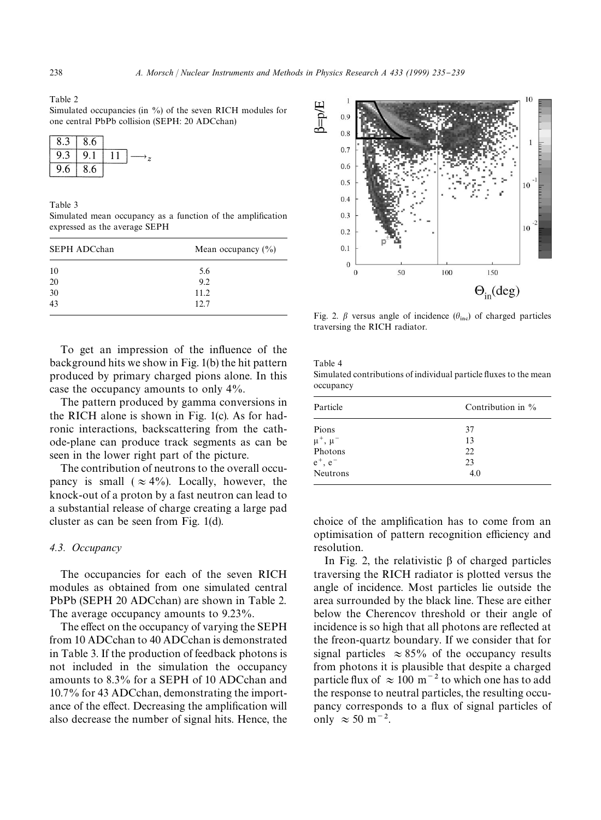Table 2

Simulated occupancies (in %) of the seven RICH modules for one central PbPb collision (SEPH: 20 ADCchan)

| ბ.∶ | 8.6 |  |
|-----|-----|--|
| 9.  | 9.  |  |
| 9.6 | 8.6 |  |

Table 3

Simulated mean occupancy as a function of the amplification expressed as the average SEPH

| <b>SEPH ADCchan</b> | Mean occupancy $(\% )$ |
|---------------------|------------------------|
| 10                  | 5.6                    |
| 20                  | 9.2                    |
| $\frac{30}{43}$     | 11.2                   |
|                     | 12.7                   |

To get an impression of the influence of the background hits we show in Fig. 1(b) the hit pattern produced by primary charged pions alone. In this case the occupancy amounts to only 4%.

The pattern produced by gamma conversions in the RICH alone is shown in Fig. 1(c). As for hadronic interactions, backscattering from the cathode-plane can produce track segments as can be seen in the lower right part of the picture.

The contribution of neutrons to the overall occupancy is small ( $\approx 4\%$ ). Locally, however, the knock-out of a proton by a fast neutron can lead to a substantial release of charge creating a large pad cluster as can be seen from Fig. 1(d).

## *4.3. Occupancy*

The occupancies for each of the seven RICH modules as obtained from one simulated central PbPb (SEPH 20 ADCchan) are shown in Table 2. The average occupancy amounts to 9.23%.

The effect on the occupancy of varying the SEPH from 10 ADCchan to 40 ADCchan is demonstrated in Table 3. If the production of feedback photons is not included in the simulation the occupancy amounts to 8.3% for a SEPH of 10 ADCchan and 10.7% for 43 ADCchan, demonstrating the importance of the effect. Decreasing the amplification will also decrease the number of signal hits. Hence, the



Fig. 2.  $\beta$  versus angle of incidence  $(\theta_{\text{inc}})$  of charged particles traversing the RICH radiator.

Table 4

Simulated contributions of individual particle fluxes to the mean occupancy

| Particle                                                           | Contribution in $\%$        |
|--------------------------------------------------------------------|-----------------------------|
| Pions<br>$\mu^+$ , $\mu^-$<br>Photons<br>$e^+$ , $e^-$<br>Neutrons | 37<br>13<br>22<br>23<br>4.0 |
|                                                                    |                             |

choice of the amplification has to come from an optimisation of pattern recognition efficiency and resolution.

In Fig. 2, the relativistic  $\beta$  of charged particles traversing the RICH radiator is plotted versus the angle of incidence. Most particles lie outside the area surrounded by the black line. These are either below the Cherencov threshold or their angle of incidence is so high that all photons are reflected at the freon-quartz boundary. If we consider that for signal particles  $\approx 85\%$  of the occupancy results from photons it is plausible that despite a charged particle flux of  $\approx 100 \text{ m}^{-2}$  to which one has to add the response to neutral particles, the resulting occupancy corresponds to a flux of signal particles of only  $\approx$  50 m<sup> $-2$ </sup>.